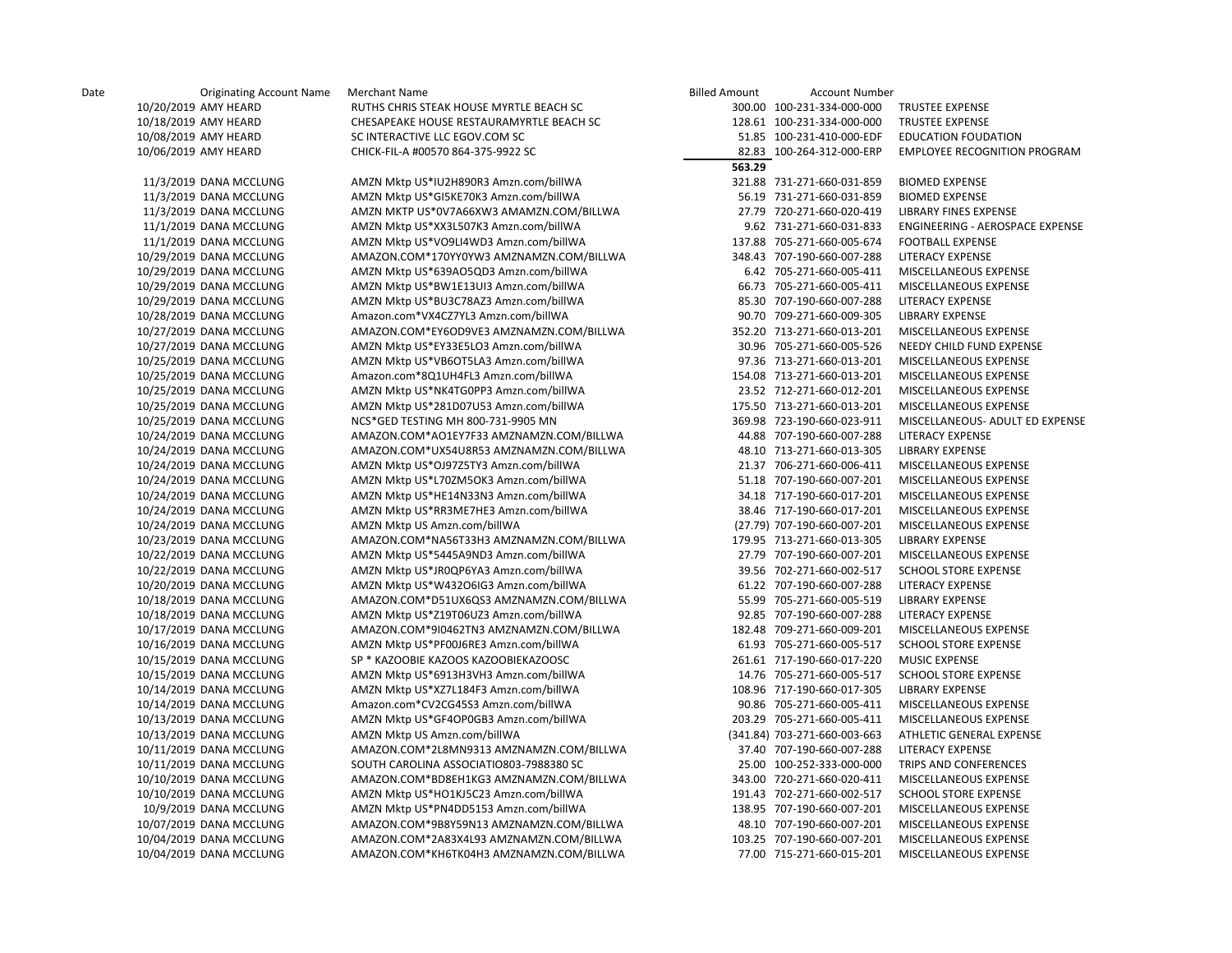| 10/20/2019 AMY HEARD    | RUTHS CHRIS STEAK HOUSE MYRTLE BEACH SC  |        | 300.00 100-231-334-000-000   | TRUSTEE EXPENSE                        |
|-------------------------|------------------------------------------|--------|------------------------------|----------------------------------------|
| 10/18/2019 AMY HEARD    | CHESAPEAKE HOUSE RESTAURAMYRTLE BEACH SC |        | 128.61 100-231-334-000-000   | TRUSTEE EXPENSE                        |
| 10/08/2019 AMY HEARD    | SC INTERACTIVE LLC EGOV.COM SC           |        | 51.85 100-231-410-000-EDF    | <b>EDUCATION FOUDATION</b>             |
| 10/06/2019 AMY HEARD    | CHICK-FIL-A #00570 864-375-9922 SC       |        | 82.83 100-264-312-000-ERP    | <b>EMPLOYEE RECOGNITION PROGRAM</b>    |
|                         |                                          | 563.29 |                              |                                        |
| 11/3/2019 DANA MCCLUNG  | AMZN Mktp US*IU2H890R3 Amzn.com/billWA   |        | 321.88 731-271-660-031-859   | <b>BIOMED EXPENSE</b>                  |
| 11/3/2019 DANA MCCLUNG  | AMZN Mktp US*GI5KE70K3 Amzn.com/billWA   |        | 56.19 731-271-660-031-859    | <b>BIOMED EXPENSE</b>                  |
| 11/3/2019 DANA MCCLUNG  | AMZN MKTP US*0V7A66XW3 AMAMZN.COM/BILLWA |        | 27.79 720-271-660-020-419    | LIBRARY FINES EXPENSE                  |
| 11/1/2019 DANA MCCLUNG  | AMZN Mktp US*XX3L507K3 Amzn.com/billWA   |        | 9.62 731-271-660-031-833     | <b>ENGINEERING - AEROSPACE EXPENSE</b> |
| 11/1/2019 DANA MCCLUNG  | AMZN Mktp US*VO9LI4WD3 Amzn.com/billWA   |        | 137.88 705-271-660-005-674   | <b>FOOTBALL EXPENSE</b>                |
| 10/29/2019 DANA MCCLUNG | AMAZON.COM*170YY0YW3 AMZNAMZN.COM/BILLWA |        | 348.43 707-190-660-007-288   | <b>LITERACY EXPENSE</b>                |
| 10/29/2019 DANA MCCLUNG | AMZN Mktp US*639AO5QD3 Amzn.com/billWA   |        | 6.42 705-271-660-005-411     | MISCELLANEOUS EXPENSE                  |
| 10/29/2019 DANA MCCLUNG | AMZN Mktp US*BW1E13UI3 Amzn.com/billWA   |        | 66.73 705-271-660-005-411    | MISCELLANEOUS EXPENSE                  |
| 10/29/2019 DANA MCCLUNG | AMZN Mktp US*BU3C78AZ3 Amzn.com/billWA   |        | 85.30 707-190-660-007-288    | LITERACY EXPENSE                       |
| 10/28/2019 DANA MCCLUNG | Amazon.com*VX4CZ7YL3 Amzn.com/billWA     |        | 90.70 709-271-660-009-305    | LIBRARY EXPENSE                        |
| 10/27/2019 DANA MCCLUNG | AMAZON.COM*EY6OD9VE3 AMZNAMZN.COM/BILLWA |        | 352.20 713-271-660-013-201   | MISCELLANEOUS EXPENSE                  |
| 10/27/2019 DANA MCCLUNG | AMZN Mktp US*EY33E5LO3 Amzn.com/billWA   |        | 30.96 705-271-660-005-526    | NEEDY CHILD FUND EXPENSE               |
| 10/25/2019 DANA MCCLUNG | AMZN Mktp US*VB6OT5LA3 Amzn.com/billWA   |        | 97.36 713-271-660-013-201    | MISCELLANEOUS EXPENSE                  |
| 10/25/2019 DANA MCCLUNG | Amazon.com*8Q1UH4FL3 Amzn.com/billWA     |        | 154.08 713-271-660-013-201   | MISCELLANEOUS EXPENSE                  |
| 10/25/2019 DANA MCCLUNG | AMZN Mktp US*NK4TG0PP3 Amzn.com/billWA   |        | 23.52 712-271-660-012-201    | MISCELLANEOUS EXPENSE                  |
| 10/25/2019 DANA MCCLUNG | AMZN Mktp US*281D07U53 Amzn.com/billWA   |        | 175.50 713-271-660-013-201   | MISCELLANEOUS EXPENSE                  |
| 10/25/2019 DANA MCCLUNG | NCS*GED TESTING MH 800-731-9905 MN       |        | 369.98 723-190-660-023-911   | MISCELLANEOUS- ADULT ED EXPENSE        |
| 10/24/2019 DANA MCCLUNG | AMAZON.COM*AO1EY7F33 AMZNAMZN.COM/BILLWA |        | 44.88 707-190-660-007-288    | LITERACY EXPENSE                       |
| 10/24/2019 DANA MCCLUNG | AMAZON.COM*UX54U8R53 AMZNAMZN.COM/BILLWA |        | 48.10 713-271-660-013-305    | <b>LIBRARY EXPENSE</b>                 |
| 10/24/2019 DANA MCCLUNG | AMZN Mktp US*OJ97Z5TY3 Amzn.com/billWA   |        | 21.37 706-271-660-006-411    | MISCELLANEOUS EXPENSE                  |
| 10/24/2019 DANA MCCLUNG | AMZN Mktp US*L70ZM5OK3 Amzn.com/billWA   |        | 51.18 707-190-660-007-201    | MISCELLANEOUS EXPENSE                  |
| 10/24/2019 DANA MCCLUNG | AMZN Mktp US*HE14N33N3 Amzn.com/billWA   |        | 34.18 717-190-660-017-201    | MISCELLANEOUS EXPENSE                  |
| 10/24/2019 DANA MCCLUNG | AMZN Mktp US*RR3ME7HE3 Amzn.com/billWA   |        | 38.46 717-190-660-017-201    | MISCELLANEOUS EXPENSE                  |
| 10/24/2019 DANA MCCLUNG | AMZN Mktp US Amzn.com/billWA             |        | (27.79) 707-190-660-007-201  | MISCELLANEOUS EXPENSE                  |
| 10/23/2019 DANA MCCLUNG | AMAZON.COM*NA56T33H3 AMZNAMZN.COM/BILLWA |        | 179.95 713-271-660-013-305   | <b>LIBRARY EXPENSE</b>                 |
| 10/22/2019 DANA MCCLUNG | AMZN Mktp US*5445A9ND3 Amzn.com/billWA   |        | 27.79 707-190-660-007-201    | MISCELLANEOUS EXPENSE                  |
| 10/22/2019 DANA MCCLUNG | AMZN Mktp US*JR0QP6YA3 Amzn.com/billWA   |        | 39.56 702-271-660-002-517    | <b>SCHOOL STORE EXPENSE</b>            |
| 10/20/2019 DANA MCCLUNG | AMZN Mktp US*W432O6IG3 Amzn.com/billWA   |        | 61.22 707-190-660-007-288    | LITERACY EXPENSE                       |
| 10/18/2019 DANA MCCLUNG | AMAZON.COM*D51UX6QS3 AMZNAMZN.COM/BILLWA |        | 55.99 705-271-660-005-519    | LIBRARY EXPENSE                        |
| 10/18/2019 DANA MCCLUNG | AMZN Mktp US*Z19T06UZ3 Amzn.com/billWA   |        | 92.85 707-190-660-007-288    | LITERACY EXPENSE                       |
| 10/17/2019 DANA MCCLUNG | AMAZON.COM*9I0462TN3 AMZNAMZN.COM/BILLWA |        | 182.48 709-271-660-009-201   | MISCELLANEOUS EXPENSE                  |
| 10/16/2019 DANA MCCLUNG | AMZN Mktp US*PF00J6RE3 Amzn.com/billWA   |        | 61.93 705-271-660-005-517    | <b>SCHOOL STORE EXPENSE</b>            |
| 10/15/2019 DANA MCCLUNG | SP * KAZOOBIE KAZOOS KAZOOBIEKAZOOSC     |        | 261.61 717-190-660-017-220   | <b>MUSIC EXPENSE</b>                   |
| 10/15/2019 DANA MCCLUNG | AMZN Mktp US*6913H3VH3 Amzn.com/billWA   |        | 14.76 705-271-660-005-517    | <b>SCHOOL STORE EXPENSE</b>            |
| 10/14/2019 DANA MCCLUNG | AMZN Mktp US*XZ7L184F3 Amzn.com/billWA   |        | 108.96 717-190-660-017-305   | LIBRARY EXPENSE                        |
| 10/14/2019 DANA MCCLUNG | Amazon.com*CV2CG45S3 Amzn.com/billWA     |        | 90.86 705-271-660-005-411    | MISCELLANEOUS EXPENSE                  |
| 10/13/2019 DANA MCCLUNG | AMZN Mktp US*GF4OP0GB3 Amzn.com/billWA   |        | 203.29 705-271-660-005-411   | MISCELLANEOUS EXPENSE                  |
| 10/13/2019 DANA MCCLUNG | AMZN Mktp US Amzn.com/billWA             |        | (341.84) 703-271-660-003-663 | ATHLETIC GENERAL EXPENSE               |
| 10/11/2019 DANA MCCLUNG | AMAZON.COM*2L8MN9313 AMZNAMZN.COM/BILLWA |        | 37.40 707-190-660-007-288    | LITERACY EXPENSE                       |
| 10/11/2019 DANA MCCLUNG | SOUTH CAROLINA ASSOCIATIO803-7988380 SC  |        | 25.00 100-252-333-000-000    | TRIPS AND CONFERENCES                  |
| 10/10/2019 DANA MCCLUNG | AMAZON.COM*BD8EH1KG3 AMZNAMZN.COM/BILLWA |        | 343.00 720-271-660-020-411   | MISCELLANEOUS EXPENSE                  |
| 10/10/2019 DANA MCCLUNG | AMZN Mktp US*HO1KJ5C23 Amzn.com/billWA   |        | 191.43 702-271-660-002-517   | <b>SCHOOL STORE EXPENSE</b>            |
| 10/9/2019 DANA MCCLUNG  | AMZN Mktp US*PN4DD5153 Amzn.com/billWA   |        | 138.95 707-190-660-007-201   | MISCELLANEOUS EXPENSE                  |
| 10/07/2019 DANA MCCLUNG | AMAZON.COM*9B8Y59N13 AMZNAMZN.COM/BILLWA |        | 48.10 707-190-660-007-201    | MISCELLANEOUS EXPENSE                  |
| 10/04/2019 DANA MCCLUNG | AMAZON.COM*2A83X4L93 AMZNAMZN.COM/BILLWA |        | 103.25 707-190-660-007-201   | MISCELLANEOUS EXPENSE                  |
| 10/04/2019 DANA MCCLUNG | AMAZON.COM*KH6TK04H3 AMZNAMZN.COM/BILLWA |        | 77.00 715-271-660-015-201    | MISCELLANEOUS EXPENSE                  |
|                         |                                          |        |                              |                                        |

| Billed Amount | Account Number               |                                     |
|---------------|------------------------------|-------------------------------------|
| 300.00        | 100-231-334-000-000          | <b>TRUSTEE EXPENSE</b>              |
| 128.61        | 100-231-334-000-000          | <b>TRUSTEE EXPENSE</b>              |
| 51.85         | 100-231-410-000-EDF          | <b>EDUCATION FOUDATION</b>          |
| 82.83         | 100-264-312-000-ERP          | <b>EMPLOYEE RECOGNITION PROGRAN</b> |
| 563.29        |                              |                                     |
| 321.88        | 731-271-660-031-859          | <b>BIOMED EXPENSE</b>               |
| 56.19         | 731-271-660-031-859          | <b>BIOMED EXPENSE</b>               |
| 27.79         | 720-271-660-020-419          | <b>LIBRARY FINES EXPENSE</b>        |
| 9.62          | 731-271-660-031-833          | ENGINEERING - AEROSPACE EXPENS      |
|               | 137.88 705-271-660-005-674   | <b>FOOTBALL EXPENSE</b>             |
| 348.43        | 707-190-660-007-288          | <b>LITERACY EXPENSE</b>             |
| 6.42          | 705-271-660-005-411          | MISCELLANEOUS EXPENSE               |
| 66.73         | 705-271-660-005-411          | MISCELLANEOUS EXPENSE               |
| 85.30         | 707-190-660-007-288          | LITERACY EXPENSE                    |
| 90.70         | 709-271-660-009-305          | LIBRARY EXPENSE                     |
| 352.20        | 713-271-660-013-201          | MISCELLANEOUS EXPENSE               |
| 30.96         | 705-271-660-005-526          | NEEDY CHILD FUND EXPENSE            |
| 97.36         | 713-271-660-013-201          | MISCELLANEOUS EXPENSE               |
|               | 154.08 713-271-660-013-201   | MISCELLANEOUS EXPENSE               |
| 23.52         | 712-271-660-012-201          | MISCELLANEOUS EXPENSE               |
|               | 175.50 713-271-660-013-201   | MISCELLANEOUS EXPENSE               |
| 369.98        | 723-190-660-023-911          | MISCELLANEOUS- ADULT ED EXPENS      |
| 44.88         | 707-190-660-007-288          | <b>LITERACY EXPENSE</b>             |
|               | 48.10 713-271-660-013-305    | LIBRARY EXPENSE                     |
| 21.37         | 706-271-660-006-411          | MISCELLANEOUS EXPENSE               |
| 51.18         | 707-190-660-007-201          | MISCELLANEOUS EXPENSE               |
| 34.18         | 717-190-660-017-201          | MISCELLANEOUS EXPENSE               |
|               | 38.46 717-190-660-017-201    | MISCELLANEOUS EXPENSE               |
|               | (27.79) 707-190-660-007-201  | MISCELLANEOUS EXPENSE               |
|               | 179.95 713-271-660-013-305   | <b>LIBRARY EXPENSE</b>              |
|               | 27.79 707-190-660-007-201    | MISCELLANEOUS EXPENSE               |
| 39.56         | 702-271-660-002-517          | <b>SCHOOL STORE EXPENSE</b>         |
| 61.22         | 707-190-660-007-288          | <b>LITERACY EXPENSE</b>             |
| 55.99         | 705-271-660-005-519          | LIBRARY EXPENSE                     |
| 92.85         | 707-190-660-007-288          | <b>LITERACY EXPENSE</b>             |
| 182.48        | 709-271-660-009-201          | MISCELLANEOUS EXPENSE               |
|               | 61.93 705-271-660-005-517    | <b>SCHOOL STORE EXPENSE</b>         |
| 261.61        | 717-190-660-017-220          | <b>MUSIC EXPENSE</b>                |
|               | 14.76 705-271-660-005-517    | <b>SCHOOL STORE EXPENSE</b>         |
| 108.96        | 717-190-660-017-305          | LIBRARY EXPENSE                     |
| 90.86         | 705-271-660-005-411          | MISCELLANEOUS EXPENSE               |
| 203.29        | 705-271-660-005-411          | MISCELLANEOUS EXPENSE               |
|               | (341.84) 703-271-660-003-663 | ATHLETIC GENERAL EXPENSE            |
|               | 37.40 707-190-660-007-288    | LITERACY EXPENSE                    |
| 25.00         | 100-252-333-000-000          | TRIPS AND CONFERENCES               |
|               | 343.00 720-271-660-020-411   | MISCELLANEOUS EXPENSE               |
| 191.43        | 702-271-660-002-517          | <b>SCHOOL STORE EXPENSE</b>         |
| 138.95        | 707-190-660-007-201          | MISCELLANEOUS EXPENSE               |
| 48.10         | 707-190-660-007-201          | MISCELLANEOUS EXPENSE               |
| 103.25        | 707-190-660-007-201          | MISCELLANEOUS EXPENSE               |
| 77.00         | 715-271-660-015-201          | MISCELLANEOUS EXPENSE               |
|               |                              |                                     |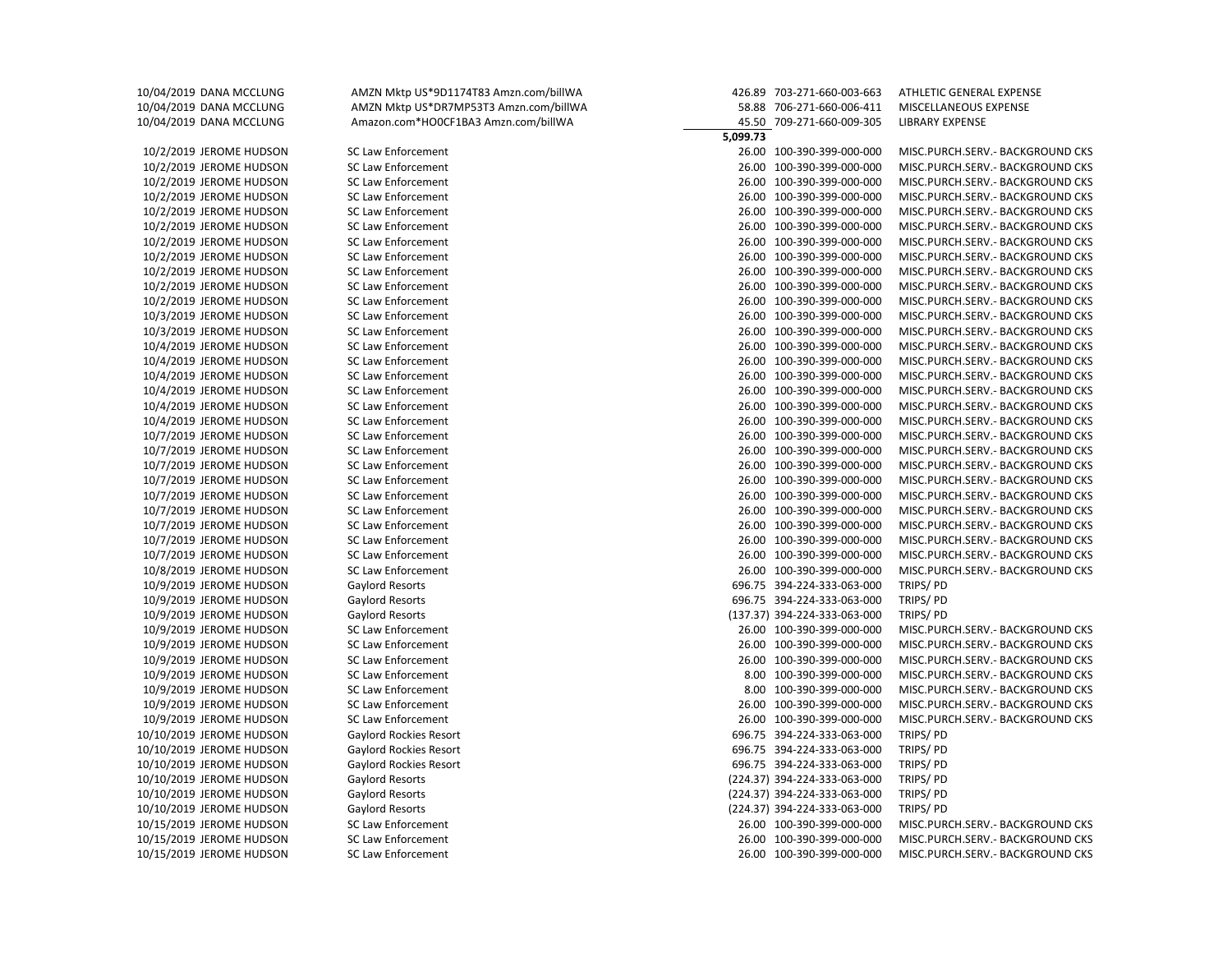10/04/2019 DANA MCCLUNG AMZN Mktp US\*9D1174T83 Amzn.com/billWA 426.89 703-271-660-003-663 ATHLETIC GENERAL EXPENSE 10/04/2019 DANA MCCLUNG AMZN Mktp US\*DR7MP53T3 Amzn.com/billWA 58.88 706-271-660-006-411 MISCELLANEOUS EXPENSE 10/04/2019 DANA MCCLUNG Amazon.com\*HO0CF1BA3 Amzn.com/billWA 45.50 709-271-660-009-305 LIBRARY EXPENSE  **5,099.73** 10/2/2019 JEROME HUDSON SC Law Enforcement 26.00 100-390-399-000-000 MISC.PURCH.SERV.- BACKGROUND CKS 10/2/2019 JEROME HUDSON SC Law Enforcement 26.00 100-390-399-000-000 MISC.PURCH.SERV.- BACKGROUND CKS 10/2/2019 JEROME HUDSON SC Law Enforcement 26.00 100-390-399-000-000 MISC.PURCH.SERV.- BACKGROUND CKS 10/2/2019 JEROME HUDSON SC Law Enforcement 26.00 100-390-399-000-000 MISC.PURCH.SERV.- BACKGROUND CKS 10/2/2019 JEROME HUDSON SC Law Enforcement 26.00 100-390-399-000-000 MISC.PURCH.SERV.- BACKGROUND CKS 10/2/2019 JEROME HUDSON SC Law Enforcement 26.00 100-390-399-000-000 MISC.PURCH.SERV.- BACKGROUND CKS 10/2/2019 JEROME HUDSON SC Law Enforcement 26.00 100-390-399-000-000 MISC.PURCH.SERV.- BACKGROUND CKS 10/2/2019 JEROME HUDSON SC Law Enforcement 26.00 100-390-399-000-000 MISC.PURCH.SERV.- BACKGROUND CKS 10/2/2019 JEROME HUDSON SC Law Enforcement 26.00 100-390-399-000-000 MISC.PURCH.SERV.- BACKGROUND CKS 10/2/2019 JEROME HUDSON SC Law Enforcement 26.00 100-390-399-000-000 MISC.PURCH.SERV.- BACKGROUND CKS 10/2/2019 JEROME HUDSON SC Law Enforcement 26.00 100-390-399-000-000 MISC.PURCH.SERV.- BACKGROUND CKS 10/3/2019 JEROME HUDSON SC Law Enforcement 26.00 100-390-399-000-000 MISC.PURCH.SERV.- BACKGROUND CKS 10/3/2019 JEROME HUDSON SC Law Enforcement 26.00 100-390-399-000-000 MISC.PURCH.SERV.- BACKGROUND CKS 10/4/2019 JEROME HUDSON SC Law Enforcement 26.00 100-390-399-000-000 MISC.PURCH.SERV.- BACKGROUND CKS 10/4/2019 JEROME HUDSON SC Law Enforcement 26.00 100-390-399-000-000 MISC.PURCH.SERV.- BACKGROUND CKS 10/4/2019 JEROME HUDSON SC Law Enforcement 26.00 100-390-399-000-000 MISC.PURCH.SERV.- BACKGROUND CKS 10/4/2019 JEROME HUDSON SC Law Enforcement 26.00 100-390-399-000-000 MISC.PURCH.SERV.- BACKGROUND CKS 10/4/2019 JEROME HUDSON SC Law Enforcement 26.00 100-390-399-000-000 MISC.PURCH.SERV.- BACKGROUND CKS 10/4/2019 JEROME HUDSON SC Law Enforcement 26.00 100-390-399-000-000 MISC.PURCH.SERV.- BACKGROUND CKS 10/7/2019 JEROME HUDSON SC Law Enforcement 26.00 100-390-399-000-000 MISC.PURCH.SERV.- BACKGROUND CKS 10/7/2019 JEROME HUDSON SC Law Enforcement 26.00 100-390-399-000-000 MISC.PURCH.SERV.- BACKGROUND CKS 10/7/2019 JEROME HUDSON SC Law Enforcement 26.00 100-390-399-000-000 MISC.PURCH.SERV.- BACKGROUND CKS 10/7/2019 JEROME HUDSON SC Law Enforcement 26.00 100-390-399-000-000 MISC.PURCH.SERV.- BACKGROUND CKS 10/7/2019 JEROME HUDSON SC Law Enforcement 26.00 100-390-399-000-000 MISC.PURCH.SERV.- BACKGROUND CKS 10/7/2019 JEROME HUDSON SC Law Enforcement 26.00 100-390-399-000-000 MISC.PURCH.SERV.- BACKGROUND CKS 10/7/2019 JEROME HUDSON SC Law Enforcement 26.00 100-390-399-000-000 MISC.PURCH.SERV.- BACKGROUND CKS 10/7/2019 JEROME HUDSON SC Law Enforcement 26.00 100-390-399-000-000 MISC.PURCH.SERV.- BACKGROUND CKS 10/7/2019 JEROME HUDSON SC Law Enforcement 26.00 100-390-399-000-000 MISC.PURCH.SERV.- BACKGROUND CKS 10/8/2019 JEROME HUDSON SC Law Enforcement 26.00 100-390-399-000-000 MISC.PURCH.SERV.- BACKGROUND CKS 10/9/2019 JEROME HUDSON Gaylord Resorts 696.75 394-224-333-063-000 TRIPS/ PD 10/9/2019 JEROME HUDSON Gaylord Resorts 696.75 394-224-333-063-000 TRIPS/ PD 10/9/2019 JEROME HUDSON Gaylord Resorts (137.37) 394-224-333-063-000 TRIPS/ PD 10/9/2019 JEROME HUDSON SC Law Enforcement 26.00 100-390-399-000-000 MISC.PURCH.SERV.- BACKGROUND CKS 10/9/2019 JEROME HUDSON SC Law Enforcement 26.00 100-390-399-000-000 MISC.PURCH.SERV.- BACKGROUND CKS 10/9/2019 JEROME HUDSON SC Law Enforcement 26.00 100-390-399-000-000 MISC.PURCH.SERV.- BACKGROUND CKS 10/9/2019 JEROME HUDSON SC Law Enforcement 8.00 100-390-399-000-000 MISC.PURCH.SERV.- BACKGROUND CKS 10/9/2019 JEROME HUDSON SC Law Enforcement 8.00 100-390-399-000-000 MISC.PURCH.SERV.- BACKGROUND CKS 10/9/2019 JEROME HUDSON SC Law Enforcement 26.00 100-390-399-000-000 MISC.PURCH.SERV.- BACKGROUND CKS 10/9/2019 JEROME HUDSON SC Law Enforcement 26.00 100-390-399-000-000 MISC.PURCH.SERV.- BACKGROUND CKS 10/10/2019 JEROME HUDSON Gaylord Rockies Resort 696.75 394-224-333-063-000 TRIPS/ PD 10/10/2019 JEROME HUDSON Gaylord Rockies Resort 696.75 394-224-333-063-000 TRIPS/ PD 10/10/2019 JEROME HUDSON Gaylord Rockies Resort 696.75 394-224-333-063-000 TRIPS/ PD 10/10/2019 JEROME HUDSON Gaylord Resorts (224.37) 394-224-333-063-000 TRIPS/ PD 10/10/2019 JEROME HUDSON Gaylord Resorts (224.37) 394-224-333-063-000 TRIPS/ PD 10/10/2019 JEROME HUDSON Gaylord Resorts (224.37) 394-224-333-063-000 TRIPS/ PD 10/15/2019 JEROME HUDSON SC Law Enforcement 26.00 100-390-399-000-000 MISC.PURCH.SERV.- BACKGROUND CKS 10/15/2019 JEROME HUDSON SC Law Enforcement 26.00 100-390-399-000-000 MISC.PURCH.SERV.- BACKGROUND CKS 10/15/2019 JEROME HUDSON SC Law Enforcement 26.00 100-390-399-000-000 MISC.PURCH.SERV.- BACKGROUND CKS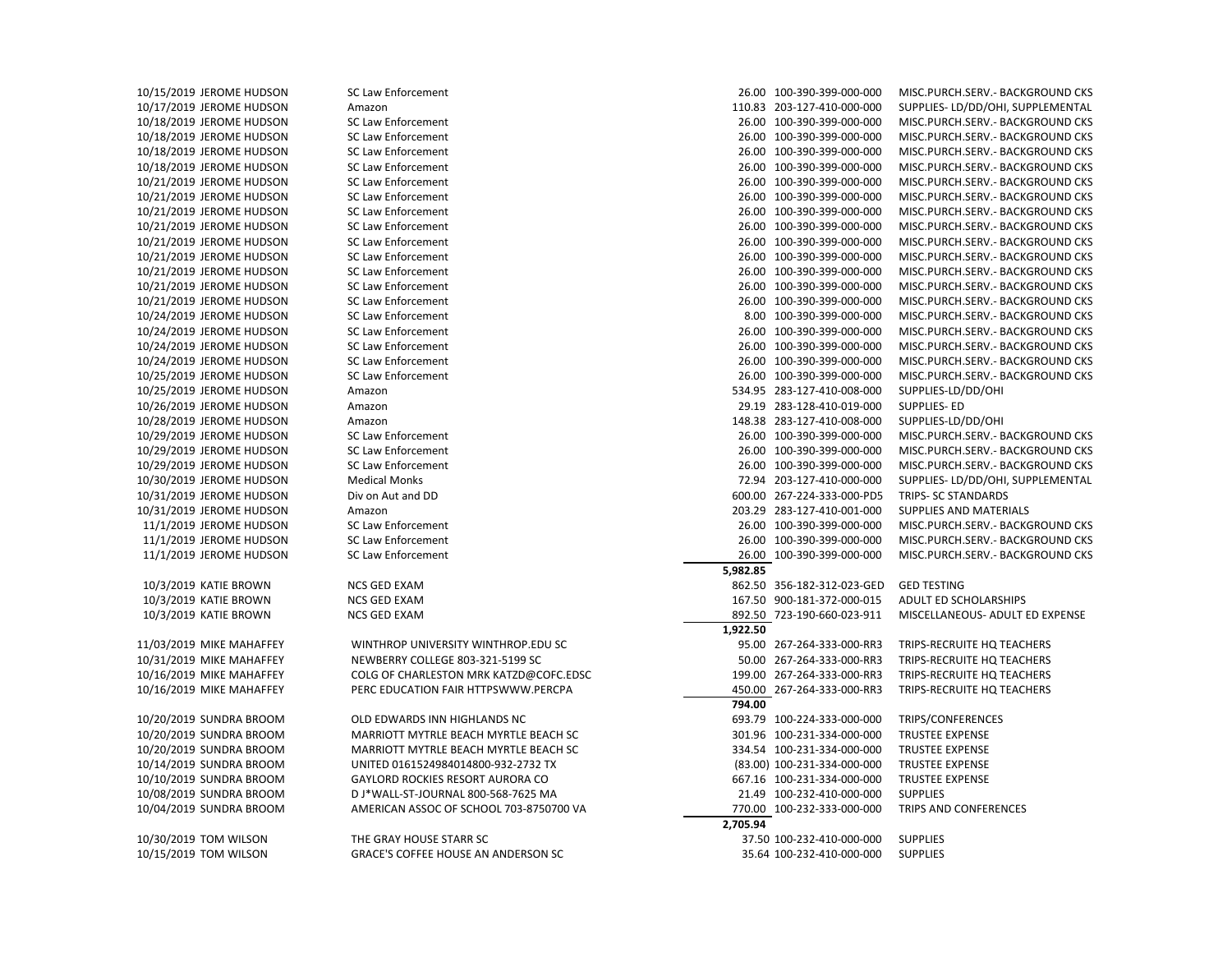10/15/2019 JEROME HUDSON SC Law Enforcement 26.00 100-390-399-000-000 MISC.PURCH.SERV.- BACKGROUND CKS

10/17/2019 JEROME HUDSON Amazon 110.83 203-127-410-000-000 SUPPLIES- LD/DD/OHI, SUPPLEMENTAL 10/18/2019 JEROME HUDSON SC Law Enforcement 26.00 100-390-399-000-000 MISC.PURCH.SERV.- BACKGROUND CKS 10/18/2019 JEROME HUDSON SC Law Enforcement 26.00 100-390-399-000-000 MISC.PURCH.SERV.- BACKGROUND CKS 10/18/2019 JEROME HUDSON SC Law Enforcement 26.00 100-390-399-000-000 MISC.PURCH.SERV.- BACKGROUND CKS 10/18/2019 JEROME HUDSON SC Law Enforcement 26.00 100-390-399-000-000 MISC.PURCH.SERV.- BACKGROUND CKS 10/21/2019 JEROME HUDSON SC Law Enforcement 26.00 100-390-399-000-000 MISC.PURCH.SERV.- BACKGROUND CKS 10/21/2019 JEROME HUDSON SC Law Enforcement 26.00 100-390-399-000-000 MISC.PURCH.SERV.- BACKGROUND CKS 10/21/2019 JEROME HUDSON SC Law Enforcement 26.00 100-390-399-000-000 MISC.PURCH.SERV.- BACKGROUND CKS 10/21/2019 JEROME HUDSON SC Law Enforcement 26.00 100-390-399-000-000 MISC.PURCH.SERV.- BACKGROUND CKS 10/21/2019 JEROME HUDSON SC Law Enforcement 26.00 100-390-399-000-000 MISC.PURCH.SERV.- BACKGROUND CKS 10/21/2019 JEROME HUDSON SC Law Enforcement 26.00 100-390-399-000-000 MISC.PURCH.SERV.- BACKGROUND CKS 10/21/2019 JEROME HUDSON SC Law Enforcement 26.00 100-390-399-000-000 MISC.PURCH.SERV.- BACKGROUND CKS 10/21/2019 JEROME HUDSON SC Law Enforcement 26.00 100-390-399-000-000 MISC.PURCH.SERV.- BACKGROUND CKS 10/21/2019 JEROME HUDSON SC Law Enforcement 26.00 100-390-399-000-000 MISC.PURCH.SERV.- BACKGROUND CKS 10/24/2019 JEROME HUDSON SC Law Enforcement 8.00 100-390-399-000-000 MISC.PURCH.SERV.- BACKGROUND CKS 10/24/2019 JEROME HUDSON SC Law Enforcement 26.00 100-390-399-000-000 MISC.PURCH.SERV.- BACKGROUND CKS 10/24/2019 JEROME HUDSON SC Law Enforcement 26.00 100-390-399-000-000 MISC.PURCH.SERV.- BACKGROUND CKS 10/24/2019 JEROME HUDSON SC Law Enforcement 26.00 100-390-399-000-000 MISC.PURCH.SERV.- BACKGROUND CKS 10/25/2019 JEROME HUDSON SC Law Enforcement 26.00 100-390-399-000-000 MISC.PURCH.SERV.- BACKGROUND CKS 10/25/2019 JEROME HUDSON Amazon 534.95 283-127-410-008-000 SUPPLIES-LD/DD/OHI 10/26/2019 JEROME HUDSON Amazon 29.19 283-128-410-019-000 SUPPLIES- ED 10/28/2019 JEROME HUDSON Amazon 148.38 283-127-410-008-000 SUPPLIES-LD/DD/OHI 10/29/2019 JEROME HUDSON SC Law Enforcement 26.00 100-390-399-000-000 MISC.PURCH.SERV.- BACKGROUND CKS 10/29/2019 JEROME HUDSON SC Law Enforcement 26.00 100-390-399-000-000 MISC.PURCH.SERV.- BACKGROUND CKS 10/29/2019 JEROME HUDSON SC Law Enforcement 26.00 100-390-399-000-000 MISC.PURCH.SERV.- BACKGROUND CKS 10/30/2019 JEROME HUDSON Medical Monks 72.94 203-127-410-000-000 SUPPLIES- LD/DD/OHI, SUPPLEMENTAL 10/31/2019 JEROME HUDSON Div on Aut and DD 600.00 267-224-333-000-PD5 TRIPS- SC STANDARDS 10/31/2019 JEROME HUDSON Amazon 203.29 283-127-410-001-000 SUPPLIES AND MATERIALS 11/1/2019 JEROME HUDSON SC Law Enforcement 26.00 100-390-399-000-000 MISC.PURCH.SERV.- BACKGROUND CKS 11/1/2019 JEROME HUDSON SC Law Enforcement 26.00 100-390-399-000-000 MISC.PURCH.SERV.- BACKGROUND CKS 11/1/2019 JEROME HUDSON SC Law Enforcement 26.00 100-390-399-000-000 MISC.PURCH.SERV.- BACKGROUND CKS  **5,982.85** 10/3/2019 KATIE BROWN NCS GED EXAM 862.50 356-182-312-023-GED GED TESTING 10/3/2019 KATIE BROWN NCS GED EXAM 167.50 900-181-372-000-015 ADULT ED SCHOLARSHIPS 10/3/2019 KATIE BROWN NCS GED EXAM 892.50 723-190-660-023-911 MISCELLANEOUS- ADULT ED EXPENSE  **1,922.50** 11/03/2019 MIKE MAHAFFEY WINTHROP UNIVERSITY WINTHROP.EDU SC 95.00 267-264-333-000-RR3 TRIPS-RECRUITE HQ TEACHERS 10/31/2019 MIKE MAHAFFEY NEWBERRY COLLEGE 803-321-5199 SC 50.00 267-264-333-000-RR3 TRIPS-RECRUITE HQ TEACHERS 10/16/2019 MIKE MAHAFFEY COLG OF CHARLESTON MRK KATZD@COFC.EDSC 199.00 267-264-333-000-RR3 TRIPS-RECRUITE HQ TEACHERS 10/16/2019 MIKE MAHAFFEY PERC EDUCATION FAIR HTTPSWWW.PERCPA 450.00 267-264-333-000-RR3 TRIPS-RECRUITE HQ TEACHERS  **794.00** 10/20/2019 SUNDRA BROOM OLD EDWARDS INN HIGHLANDS NC 693.79 100-224-333-000-000 TRIPS/CONFERENCES 10/20/2019 SUNDRA BROOM MARRIOTT MYTRLE BEACH MYRTLE BEACH SC 301.96 100-231-334-000-000 TRUSTEE EXPENSE 10/20/2019 SUNDRA BROOM MARRIOTT MYTRLE BEACH MYRTLE BEACH SC 334.54 100-231-334-000-000 TRUSTEE EXPENSE 10/14/2019 SUNDRA BROOM UNITED 0161524984014800-932-2732 TX (83.00) 100-231-334-000-000 TRUSTEE EXPENSE 10/10/2019 SUNDRA BROOM GAYLORD ROCKIES RESORT AURORA CO 667.16 100-231-334-000-000 TRUSTEE EXPENSE 10/08/2019 SUNDRA BROOM D J\*WALL-ST-JOURNAL 800-568-7625 MA 21.49 100-232-410-000-000 SUPPLIES 10/04/2019 SUNDRA BROOM AMERICAN ASSOC OF SCHOOL 703-8750700 VA 770.00 100-232-333-000-000 TRIPS AND CONFERENCES  **2,705.94** 10/30/2019 TOM WILSON THE GRAY HOUSE STARR SC 37.50 100-232-410-000-000 SUPPLIES 10/15/2019 TOM WILSON GRACE'S COFFEE HOUSE AN ANDERSON SC 35.64 100-232-410-000-000 SUPPLIES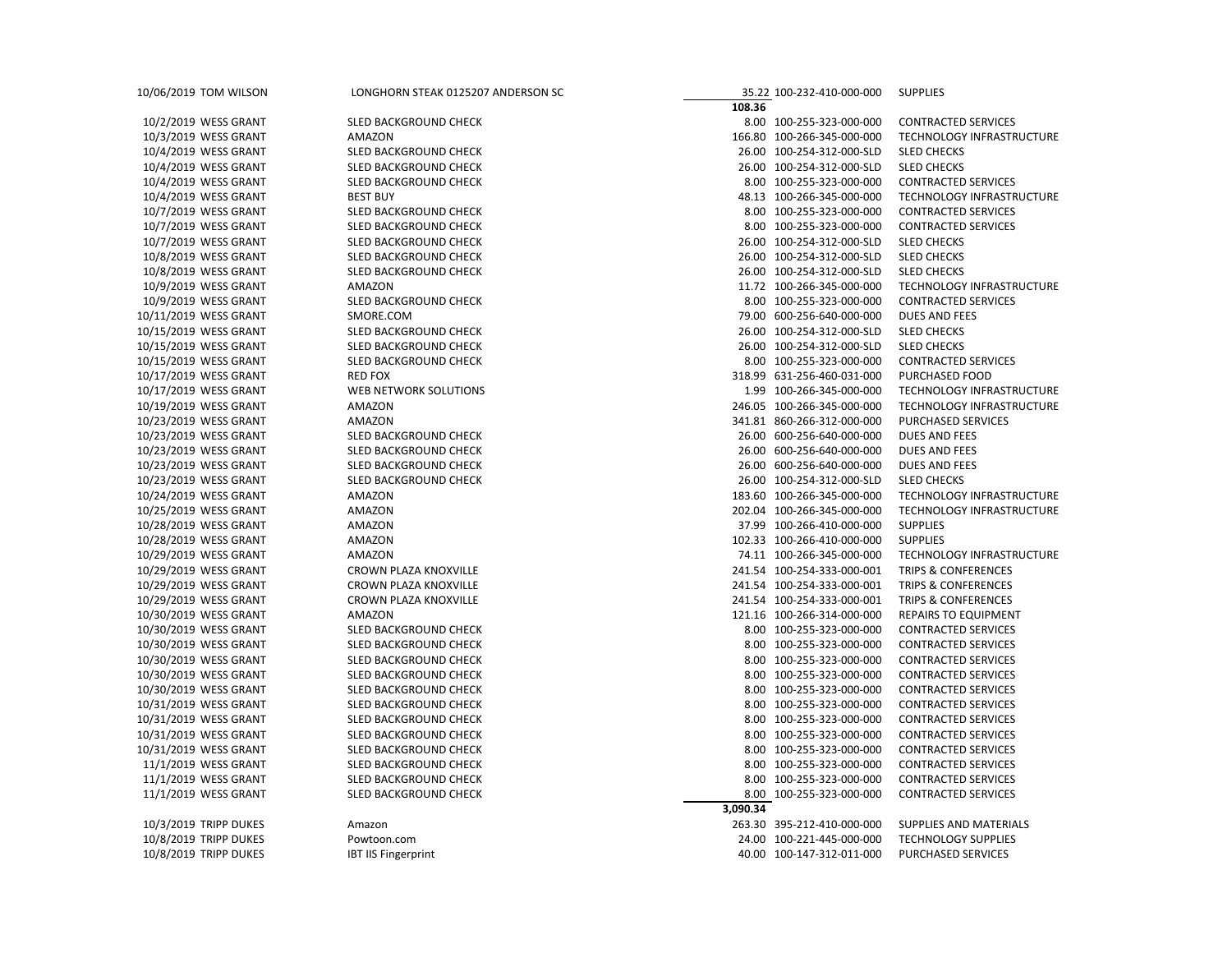| 10/06/2019 TOM WILSON | LONGHORN STEAK 0125207 ANDERSON SC      | 35.22 100-232-410-000-000                              | <b>SUPPLIES</b>                              |
|-----------------------|-----------------------------------------|--------------------------------------------------------|----------------------------------------------|
| 10/2/2019 WESS GRANT  | SLED BACKGROUND CHECK                   | 108.36<br>8.00 100-255-323-000-000                     | <b>CONTRACTED SERVICES</b>                   |
| 10/3/2019 WESS GRANT  | AMAZON                                  | 166.80 100-266-345-000-000                             | TECHNOLOGY INFRASTRUCTURE                    |
| 10/4/2019 WESS GRANT  | SLED BACKGROUND CHECK                   | 26.00 100-254-312-000-SLD                              | <b>SLED CHECKS</b>                           |
| 10/4/2019 WESS GRANT  | SLED BACKGROUND CHECK                   | 26.00 100-254-312-000-SLD                              | <b>SLED CHECKS</b>                           |
| 10/4/2019 WESS GRANT  | SLED BACKGROUND CHECK                   | 8.00 100-255-323-000-000                               | <b>CONTRACTED SERVICES</b>                   |
| 10/4/2019 WESS GRANT  | <b>BEST BUY</b>                         | 48.13 100-266-345-000-000                              | TECHNOLOGY INFRASTRUCTURE                    |
| 10/7/2019 WESS GRANT  | SLED BACKGROUND CHECK                   | 8.00 100-255-323-000-000                               | <b>CONTRACTED SERVICES</b>                   |
| 10/7/2019 WESS GRANT  | SLED BACKGROUND CHECK                   | 8.00 100-255-323-000-000                               | <b>CONTRACTED SERVICES</b>                   |
| 10/7/2019 WESS GRANT  | SLED BACKGROUND CHECK                   | 26.00 100-254-312-000-SLD                              | <b>SLED CHECKS</b>                           |
| 10/8/2019 WESS GRANT  | SLED BACKGROUND CHECK                   | 26.00 100-254-312-000-SLD                              | <b>SLED CHECKS</b>                           |
| 10/8/2019 WESS GRANT  | SLED BACKGROUND CHECK                   | 26.00 100-254-312-000-SLD                              | <b>SLED CHECKS</b>                           |
| 10/9/2019 WESS GRANT  | AMAZON                                  | 11.72 100-266-345-000-000                              | TECHNOLOGY INFRASTRUCTURE                    |
| 10/9/2019 WESS GRANT  | SLED BACKGROUND CHECK                   | 8.00 100-255-323-000-000                               | <b>CONTRACTED SERVICES</b>                   |
| 10/11/2019 WESS GRANT | SMORE.COM                               | 79.00 600-256-640-000-000                              | <b>DUES AND FEES</b>                         |
| 10/15/2019 WESS GRANT | SLED BACKGROUND CHECK                   | 26.00 100-254-312-000-SLD                              | <b>SLED CHECKS</b>                           |
|                       | SLED BACKGROUND CHECK                   | 26.00 100-254-312-000-SLD                              | <b>SLED CHECKS</b>                           |
| 10/15/2019 WESS GRANT |                                         |                                                        |                                              |
| 10/15/2019 WESS GRANT | SLED BACKGROUND CHECK<br><b>RED FOX</b> | 8.00 100-255-323-000-000<br>318.99 631-256-460-031-000 | <b>CONTRACTED SERVICES</b><br>PURCHASED FOOD |
| 10/17/2019 WESS GRANT |                                         | 1.99 100-266-345-000-000                               |                                              |
| 10/17/2019 WESS GRANT | WEB NETWORK SOLUTIONS                   |                                                        | TECHNOLOGY INFRASTRUCTURE                    |
| 10/19/2019 WESS GRANT | AMAZON                                  | 246.05 100-266-345-000-000                             | TECHNOLOGY INFRASTRUCTURE                    |
| 10/23/2019 WESS GRANT | AMAZON                                  | 341.81 860-266-312-000-000                             | PURCHASED SERVICES                           |
| 10/23/2019 WESS GRANT | SLED BACKGROUND CHECK                   | 26.00 600-256-640-000-000                              | DUES AND FEES                                |
| 10/23/2019 WESS GRANT | SLED BACKGROUND CHECK                   | 26.00 600-256-640-000-000                              | DUES AND FEES                                |
| 10/23/2019 WESS GRANT | SLED BACKGROUND CHECK                   | 26.00 600-256-640-000-000                              | DUES AND FEES                                |
| 10/23/2019 WESS GRANT | SLED BACKGROUND CHECK                   | 26.00 100-254-312-000-SLD                              | <b>SLED CHECKS</b>                           |
| 10/24/2019 WESS GRANT | AMAZON                                  | 183.60 100-266-345-000-000                             | TECHNOLOGY INFRASTRUCTURE                    |
| 10/25/2019 WESS GRANT | AMAZON                                  | 202.04 100-266-345-000-000                             | TECHNOLOGY INFRASTRUCTURE                    |
| 10/28/2019 WESS GRANT | AMAZON                                  | 37.99 100-266-410-000-000                              | <b>SUPPLIES</b>                              |
| 10/28/2019 WESS GRANT | AMAZON                                  | 102.33 100-266-410-000-000                             | <b>SUPPLIES</b>                              |
| 10/29/2019 WESS GRANT | AMAZON                                  | 74.11 100-266-345-000-000                              | TECHNOLOGY INFRASTRUCTURE                    |
| 10/29/2019 WESS GRANT | CROWN PLAZA KNOXVILLE                   | 241.54 100-254-333-000-001                             | <b>TRIPS &amp; CONFERENCES</b>               |
| 10/29/2019 WESS GRANT | CROWN PLAZA KNOXVILLE                   | 241.54 100-254-333-000-001                             | <b>TRIPS &amp; CONFERENCES</b>               |
| 10/29/2019 WESS GRANT | CROWN PLAZA KNOXVILLE                   | 241.54 100-254-333-000-001                             | TRIPS & CONFERENCES                          |
| 10/30/2019 WESS GRANT | AMAZON                                  | 121.16 100-266-314-000-000                             | <b>REPAIRS TO EQUIPMENT</b>                  |
| 10/30/2019 WESS GRANT | SLED BACKGROUND CHECK                   | 8.00 100-255-323-000-000                               | <b>CONTRACTED SERVICES</b>                   |
| 10/30/2019 WESS GRANT | SLED BACKGROUND CHECK                   | 8.00 100-255-323-000-000                               | <b>CONTRACTED SERVICES</b>                   |
| 10/30/2019 WESS GRANT | SLED BACKGROUND CHECK                   | 8.00 100-255-323-000-000                               | <b>CONTRACTED SERVICES</b>                   |
| 10/30/2019 WESS GRANT | SLED BACKGROUND CHECK                   | 8.00 100-255-323-000-000                               | <b>CONTRACTED SERVICES</b>                   |
| 10/30/2019 WESS GRANT | SLED BACKGROUND CHECK                   | 8.00 100-255-323-000-000                               | <b>CONTRACTED SERVICES</b>                   |
| 10/31/2019 WESS GRANT | SLED BACKGROUND CHECK                   | 8.00 100-255-323-000-000                               | <b>CONTRACTED SERVICES</b>                   |
| 10/31/2019 WESS GRANT | SLED BACKGROUND CHECK                   | 8.00 100-255-323-000-000                               | <b>CONTRACTED SERVICES</b>                   |
| 10/31/2019 WESS GRANT | SLED BACKGROUND CHECK                   | 8.00 100-255-323-000-000                               | <b>CONTRACTED SERVICES</b>                   |
| 10/31/2019 WESS GRANT | SLED BACKGROUND CHECK                   | 8.00 100-255-323-000-000                               | <b>CONTRACTED SERVICES</b>                   |
| 11/1/2019 WESS GRANT  | SLED BACKGROUND CHECK                   | 8.00 100-255-323-000-000                               | <b>CONTRACTED SERVICES</b>                   |
| 11/1/2019 WESS GRANT  | SLED BACKGROUND CHECK                   | 8.00 100-255-323-000-000                               | <b>CONTRACTED SERVICES</b>                   |
| 11/1/2019 WESS GRANT  | SLED BACKGROUND CHECK                   | 8.00 100-255-323-000-000                               | <b>CONTRACTED SERVICES</b>                   |
|                       |                                         | 3,090.34                                               |                                              |
| 10/3/2019 TRIPP DUKES | Amazon                                  | 263.30 395-212-410-000-000                             | SUPPLIES AND MATERIALS                       |
| 10/8/2019 TRIPP DUKES | Powtoon.com                             | 24.00 100-221-445-000-000                              | <b>TECHNOLOGY SUPPLIES</b>                   |
| 10/8/2019 TRIPP DUKES | <b>IBT IIS Fingerprint</b>              | 40.00 100-147-312-011-000                              | PURCHASED SERVICES                           |
|                       |                                         |                                                        |                                              |